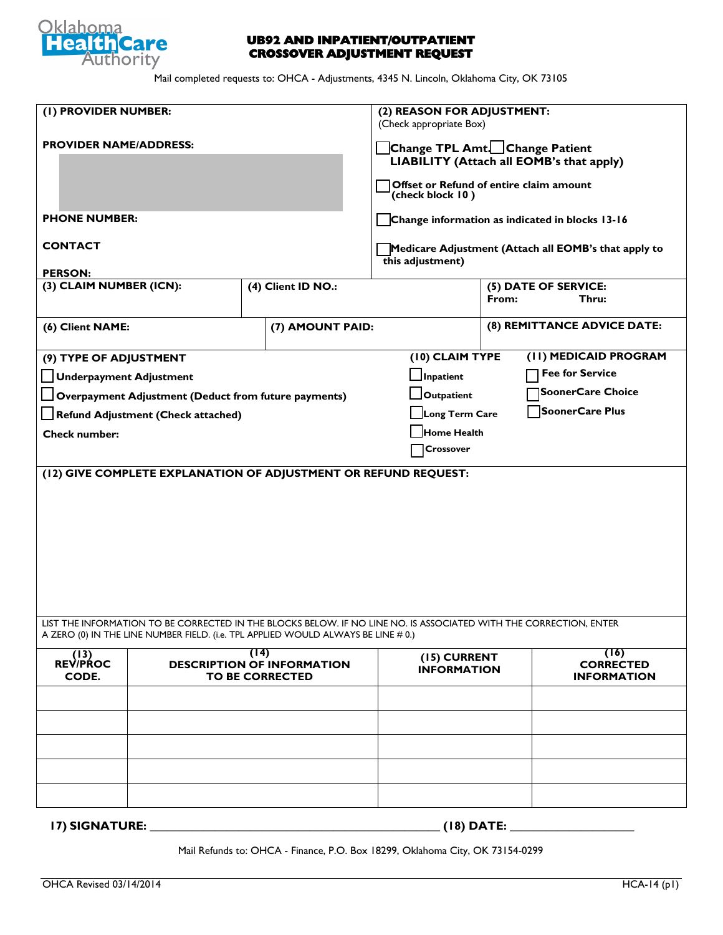

## **UB92 AND INPATIENT/OUTPATIENT CROSSOVER ADJUSTMENT REQUEST**

Mail completed requests to: OHCA - Adjustments, 4345 N. Lincoln, Oklahoma City, OK 73105

| (I) PROVIDER NUMBER:                                                                                                                                                                                   |                                                                     |  |                                    | (2) REASON FOR ADJUSTMENT:<br>(Check appropriate Box)                                                                                     |                                        |  |
|--------------------------------------------------------------------------------------------------------------------------------------------------------------------------------------------------------|---------------------------------------------------------------------|--|------------------------------------|-------------------------------------------------------------------------------------------------------------------------------------------|----------------------------------------|--|
| <b>PROVIDER NAME/ADDRESS:</b>                                                                                                                                                                          |                                                                     |  |                                    | Change TPL Amt. Change Patient<br>LIABILITY (Attach all EOMB's that apply)<br>Offset or Refund of entire claim amount<br>(check block 10) |                                        |  |
| <b>PHONE NUMBER:</b>                                                                                                                                                                                   |                                                                     |  |                                    | Change information as indicated in blocks 13-16                                                                                           |                                        |  |
| <b>CONTACT</b>                                                                                                                                                                                         |                                                                     |  |                                    | Medicare Adjustment (Attach all EOMB's that apply to<br>this adjustment)                                                                  |                                        |  |
| <b>PERSON:</b>                                                                                                                                                                                         |                                                                     |  |                                    |                                                                                                                                           |                                        |  |
| (3) CLAIM NUMBER (ICN):                                                                                                                                                                                |                                                                     |  | (4) Client ID NO.:                 |                                                                                                                                           | (5) DATE OF SERVICE:<br>From:<br>Thru: |  |
| (6) Client NAME:                                                                                                                                                                                       |                                                                     |  | (7) AMOUNT PAID:                   |                                                                                                                                           | (8) REMITTANCE ADVICE DATE:            |  |
| (9) TYPE OF ADJUSTMENT                                                                                                                                                                                 |                                                                     |  |                                    | (10) CLAIM TYPE                                                                                                                           | (II) MEDICAID PROGRAM                  |  |
| Underpayment Adjustment                                                                                                                                                                                |                                                                     |  |                                    | $\Box$ Inpatient                                                                                                                          | <b>Fee for Service</b>                 |  |
|                                                                                                                                                                                                        |                                                                     |  |                                    | Outpatient                                                                                                                                | <b>SoonerCare Choice</b>               |  |
| Overpayment Adjustment (Deduct from future payments)                                                                                                                                                   |                                                                     |  |                                    | SoonerCare Plus                                                                                                                           |                                        |  |
| Long Term Care<br>Refund Adjustment (Check attached)                                                                                                                                                   |                                                                     |  |                                    |                                                                                                                                           |                                        |  |
| <b>Check number:</b>                                                                                                                                                                                   |                                                                     |  |                                    | Home Health                                                                                                                               |                                        |  |
|                                                                                                                                                                                                        |                                                                     |  |                                    | Crossover                                                                                                                                 |                                        |  |
|                                                                                                                                                                                                        |                                                                     |  |                                    |                                                                                                                                           |                                        |  |
| LIST THE INFORMATION TO BE CORRECTED IN THE BLOCKS BELOW. IF NO LINE NO. IS ASSOCIATED WITH THE CORRECTION, ENTER<br>A ZERO (0) IN THE LINE NUMBER FIELD. (i.e. TPL APPLIED WOULD ALWAYS BE LINE # 0.) |                                                                     |  |                                    |                                                                                                                                           |                                        |  |
| (13)<br><b>REV/PROC</b><br>CODE.                                                                                                                                                                       | (14)<br><b>DESCRIPTION OF INFORMATION</b><br><b>TO BE CORRECTED</b> |  | (15) CURRENT<br><b>INFORMATION</b> | (16)<br><b>CORRECTED</b><br><b>INFORMATION</b>                                                                                            |                                        |  |
|                                                                                                                                                                                                        |                                                                     |  |                                    |                                                                                                                                           |                                        |  |
|                                                                                                                                                                                                        |                                                                     |  |                                    |                                                                                                                                           |                                        |  |
|                                                                                                                                                                                                        |                                                                     |  |                                    |                                                                                                                                           |                                        |  |
|                                                                                                                                                                                                        |                                                                     |  |                                    |                                                                                                                                           |                                        |  |
|                                                                                                                                                                                                        |                                                                     |  |                                    |                                                                                                                                           |                                        |  |
| <b>17) SIGNATURE:</b>                                                                                                                                                                                  |                                                                     |  |                                    | (18) DATE:                                                                                                                                |                                        |  |

Mail Refunds to: OHCA - Finance, P.O. Box 18299, Oklahoma City, OK 73154-0299